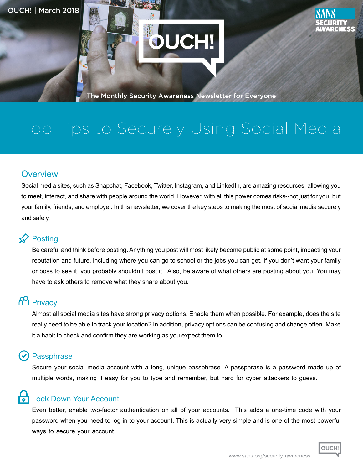

The Monthly Security Awareness Newsletter for Everyone

OUCH!

# Top Tips to Securely Using Social Media

#### **Overview**

Social media sites, such as Snapchat, Facebook, Twitter, Instagram, and LinkedIn, are amazing resources, allowing you to meet, interact, and share with people around the world. However, with all this power comes risks--not just for you, but your family, friends, and employer. In this newsletter, we cover the key steps to making the most of social media securely and safely.

#### **★**Posting

Be careful and think before posting. Anything you post will most likely become public at some point, impacting your reputation and future, including where you can go to school or the jobs you can get. If you don't want your family or boss to see it, you probably shouldn't post it. Also, be aware of what others are posting about you. You may have to ask others to remove what they share about you.

# **FA** Privacy

Almost all social media sites have strong privacy options. Enable them when possible. For example, does the site really need to be able to track your location? In addition, privacy options can be confusing and change often. Make it a habit to check and confirm they are working as you expect them to.

#### **Passphrase**

Secure your social media account with a long, unique passphrase. A passphrase is a password made up of multiple words, making it easy for you to type and remember, but hard for cyber attackers to guess.

#### **Lock Down Your Account**

Even better, enable two-factor authentication on all of your accounts. This adds a one-time code with your password when you need to log in to your account. This is actually very simple and is one of the most powerful ways to secure your account.